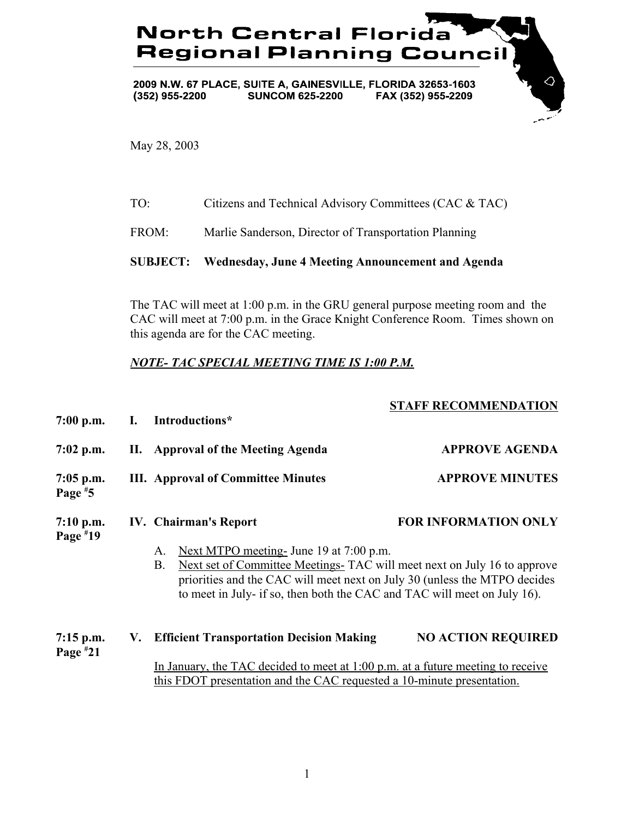## **North Central Florida Regional Planning Council**

2009 N.W. 67 PLACE, SUITE A, GAINESVILLE, FLORIDA 32653-1603  $(352)$  955-2200 **SUNCOM 625-2200** FAX (352) 955-2209

May 28, 2003

| TO: | Citizens and Technical Advisory Committees (CAC & TAC) |
|-----|--------------------------------------------------------|
|-----|--------------------------------------------------------|

FROM: Marlie Sanderson, Director of Transportation Planning

## **SUBJECT: Wednesday, June 4 Meeting Announcement and Agenda**

The TAC will meet at 1:00 p.m. in the GRU general purpose meeting room and the CAC will meet at 7:00 p.m. in the Grace Knight Conference Room. Times shown on this agenda are for the CAC meeting.

## *NOTE- TAC SPECIAL MEETING TIME IS 1:00 P.M.*

## **STAFF RECOMMENDATION**

 $\Diamond$ 

| $7:00$ p.m.               |    | I. Introductions*                                                                                                                                                                                                                                                                                                               |                             |
|---------------------------|----|---------------------------------------------------------------------------------------------------------------------------------------------------------------------------------------------------------------------------------------------------------------------------------------------------------------------------------|-----------------------------|
| $7:02$ p.m.               |    | II. Approval of the Meeting Agenda                                                                                                                                                                                                                                                                                              | <b>APPROVE AGENDA</b>       |
| $7:05$ p.m.<br>Page $*5$  |    | <b>III.</b> Approval of Committee Minutes                                                                                                                                                                                                                                                                                       | <b>APPROVE MINUTES</b>      |
| $7:10$ p.m.<br>Page $*19$ |    | <b>IV.</b> Chairman's Report<br>Next MTPO meeting- June 19 at 7:00 p.m.<br>A.<br>Next set of Committee Meetings- TAC will meet next on July 16 to approve<br><b>B.</b><br>priorities and the CAC will meet next on July 30 (unless the MTPO decides<br>to meet in July- if so, then both the CAC and TAC will meet on July 16). | <b>FOR INFORMATION ONLY</b> |
| $7:15$ p.m.<br>Page $*21$ | V. | <b>Efficient Transportation Decision Making</b>                                                                                                                                                                                                                                                                                 | <b>NO ACTION REQUIRED</b>   |
|                           |    | In January, the TAC decided to meet at $1:00$ p.m. at a future meeting to receive<br>this FDOT presentation and the CAC requested a 10-minute presentation.                                                                                                                                                                     |                             |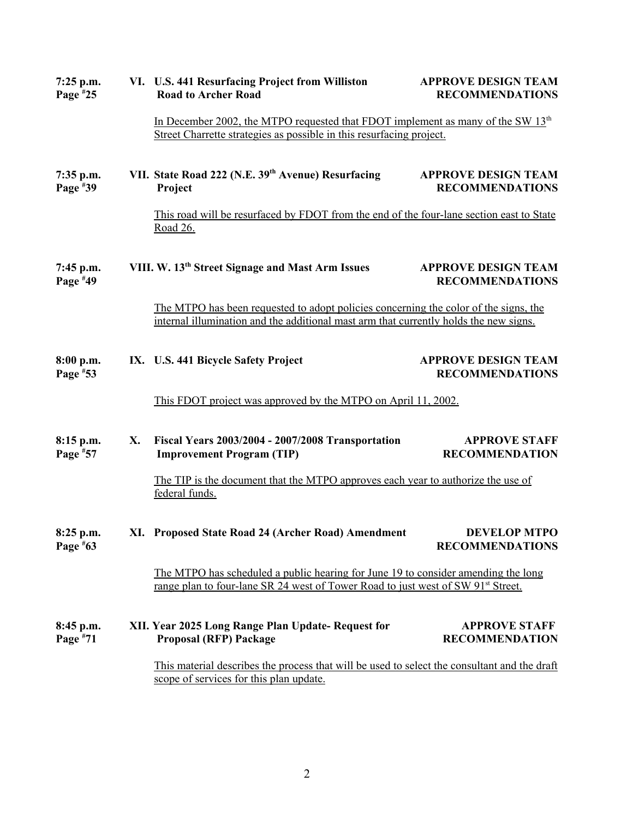| $7:25$ p.m.<br>Page #25   |    | VI. U.S. 441 Resurfacing Project from Williston<br><b>Road to Archer Road</b>                                                                                                     | <b>APPROVE DESIGN TEAM</b><br><b>RECOMMENDATIONS</b> |
|---------------------------|----|-----------------------------------------------------------------------------------------------------------------------------------------------------------------------------------|------------------------------------------------------|
|                           |    | In December 2002, the MTPO requested that FDOT implement as many of the SW $13th$<br>Street Charrette strategies as possible in this resurfacing project.                         |                                                      |
| $7:35$ p.m.<br>Page $*39$ |    | VII. State Road 222 (N.E. 39th Avenue) Resurfacing<br>Project                                                                                                                     | <b>APPROVE DESIGN TEAM</b><br><b>RECOMMENDATIONS</b> |
|                           |    | This road will be resurfaced by FDOT from the end of the four-lane section east to State<br>Road 26.                                                                              |                                                      |
| 7:45 p.m.<br>Page #49     |    | VIII. W. 13 <sup>th</sup> Street Signage and Mast Arm Issues                                                                                                                      | <b>APPROVE DESIGN TEAM</b><br><b>RECOMMENDATIONS</b> |
|                           |    | The MTPO has been requested to adopt policies concerning the color of the signs, the<br>internal illumination and the additional mast arm that currently holds the new signs.     |                                                      |
| 8:00 p.m.<br>Page $*53$   |    | IX. U.S. 441 Bicycle Safety Project                                                                                                                                               | <b>APPROVE DESIGN TEAM</b><br><b>RECOMMENDATIONS</b> |
|                           |    | This FDOT project was approved by the MTPO on April 11, 2002.                                                                                                                     |                                                      |
| 8:15 p.m.<br>Page $*57$   | X. | Fiscal Years 2003/2004 - 2007/2008 Transportation<br><b>Improvement Program (TIP)</b>                                                                                             | <b>APPROVE STAFF</b><br><b>RECOMMENDATION</b>        |
|                           |    | The TIP is the document that the MTPO approves each year to authorize the use of<br>federal funds.                                                                                |                                                      |
| 8:25 p.m.<br>Page $*63$   |    | XI. Proposed State Road 24 (Archer Road) Amendment                                                                                                                                | <b>DEVELOP MTPO</b><br><b>RECOMMENDATIONS</b>        |
|                           |    | The MTPO has scheduled a public hearing for June 19 to consider amending the long<br>range plan to four-lane SR 24 west of Tower Road to just west of SW 91 <sup>st</sup> Street. |                                                      |
| 8:45 p.m.<br>Page $*71$   |    | XII. Year 2025 Long Range Plan Update-Request for<br><b>Proposal (RFP) Package</b>                                                                                                | <b>APPROVE STAFF</b><br><b>RECOMMENDATION</b>        |
|                           |    | This material describes the process that will be used to select the consultant and the draft<br>scope of services for this plan update.                                           |                                                      |